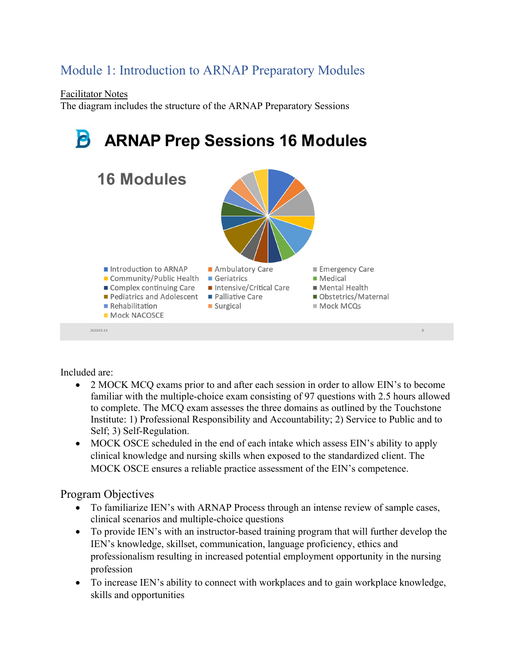## Module 1: Introduction to ARNAP Preparatory Modules

Facilitator Notes

The diagram includes the structure of the ARNAP Preparatory Sessions



Included are:

- 2 MOCK MCO exams prior to and after each session in order to allow EIN's to become familiar with the multiple-choice exam consisting of 97 questions with 2.5 hours allowed to complete. The MCQ exam assesses the three domains as outlined by the Touchstone Institute: 1) Professional Responsibility and Accountability; 2) Service to Public and to Self; 3) Self-Regulation.
- MOCK OSCE scheduled in the end of each intake which assess EIN's ability to apply clinical knowledge and nursing skills when exposed to the standardized client. The MOCK OSCE ensures a reliable practice assessment of the EIN's competence.

## Program Objectives

- To familiarize IEN's with ARNAP Process through an intense review of sample cases, clinical scenarios and multiple-choice questions
- To provide IEN's with an instructor-based training program that will further develop the IEN's knowledge, skillset, communication, language proficiency, ethics and professionalism resulting in increased potential employment opportunity in the nursing profession
- To increase IEN's ability to connect with workplaces and to gain workplace knowledge, skills and opportunities